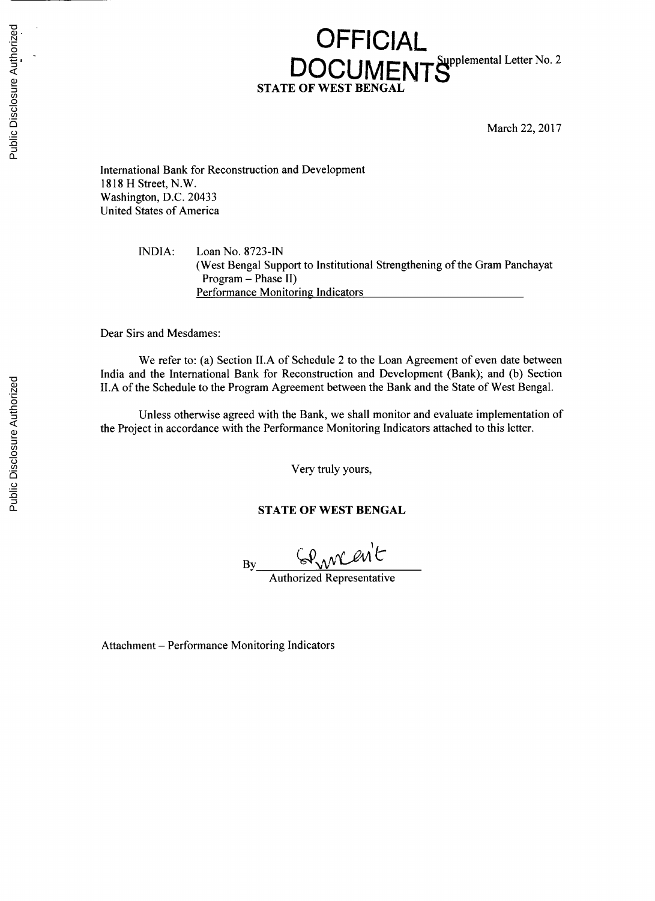## **OFFICIAL** DOCUMENTS<sup>Supplemental Letter No. 2</sup> **STATE OF WEST BEN**

March 22, **2017**

International Bank for Reconstruction and Development **1818** H Street, N.W. Washington, **D.C.** 20433 United States of America

> **INDIA:** Loan No. **8723-IN** (West Bengal Support to Institutional Strengthening of the Gram Panchayat Program **-** Phase II) Performance Monitoring Indicators

Dear Sirs and Mesdames:

We refer to: (a) Section **II.A** of Schedule 2 to the Loan Agreement of even date between India and the International Bank for Reconstruction and Development (Bank); and **(b)** Section **II.A** of the Schedule to the Program Agreement between the Bank and the State of West Bengal.

Unless otherwise agreed with the Bank, we shall monitor and evaluate implementation of the Project in accordance with the Performance Monitoring Indicators attached to this letter.

Very truly yours,

**STATE OF WEST BENGAL**

Gennerit **By**

Authorized Representative

Attachment **-** Performance Monitoring Indicators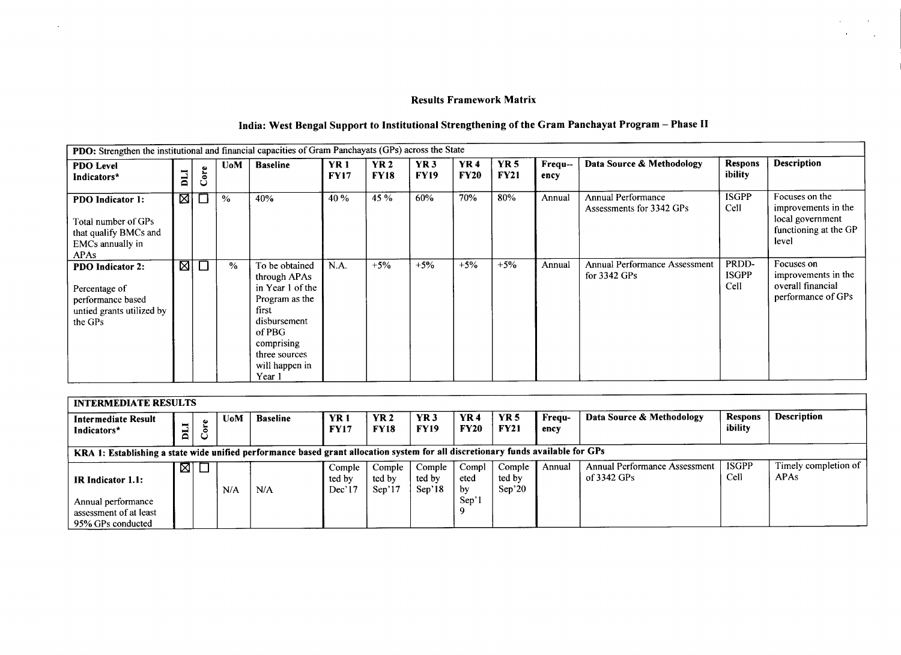## **Results Framework Matrix**

 $\sim$ 

 $\mathcal{L}^{\mathcal{L}}$ 

 $\mathbf{r}$ 

 $\sim$ 

 $\mathcal{L}^{\mathcal{L}}$ 

## India: West Bengal Support to Institutional Strengthening of the Gram Panchayat Program - Phase II

| PDO: Strengthen the institutional and financial capacities of Gram Panchayats (GPs) across the State       |             |        |               |                                                                                                                                                                    |                           |                     |                           |                           |                            |                 |                                                       |                               |                                                                                             |
|------------------------------------------------------------------------------------------------------------|-------------|--------|---------------|--------------------------------------------------------------------------------------------------------------------------------------------------------------------|---------------------------|---------------------|---------------------------|---------------------------|----------------------------|-----------------|-------------------------------------------------------|-------------------------------|---------------------------------------------------------------------------------------------|
| <b>PDO Level</b><br>Indicators*                                                                            | LIQ         | ore    | UoM           | <b>Baseline</b>                                                                                                                                                    | <b>YR1</b><br><b>FY17</b> | YR 2<br><b>FY18</b> | <b>YR3</b><br><b>FY19</b> | <b>YR4</b><br><b>FY20</b> | <b>YR 5</b><br><b>FY21</b> | Frequ--<br>ency | Data Source & Methodology                             | <b>Respons</b><br>ibility     | Description                                                                                 |
| <b>PDO</b> Indicator 1:<br>Total number of GPs<br>that qualify BMCs and<br>EMCs annually in<br><b>APAs</b> | ⊠           |        | $\frac{0}{2}$ | 40%                                                                                                                                                                | 40 %                      | 45 %                | 60%                       | 70%                       | 80%                        | Annual          | <b>Annual Performance</b><br>Assessments for 3342 GPs | <b>ISGPP</b><br>Cell          | Focuses on the<br>improvements in the<br>local government<br>functioning at the GP<br>level |
| <b>PDO</b> Indicator 2:<br>Percentage of<br>performance based<br>untied grants utilized by<br>the GPs      | $\boxtimes$ | $\Box$ | $\%$          | To be obtained<br>through APAs<br>in Year 1 of the<br>Program as the<br>first<br>disbursement<br>of PBG<br>comprising<br>three sources<br>will happen in<br>Year 1 | N.A.                      | $+5%$               | $+5%$                     | $+5%$                     | $+5%$                      | Annual          | Annual Performance Assessment<br>for $3342$ GPs       | PRDD-<br><b>ISGPP</b><br>Cell | Focuses on<br>improvements in the<br>overall financial<br>performance of GPs                |

| <b>INTERMEDIATE RESULTS</b>                                                                                                      |     |                          |            |                 |                            |                            |                            |                     |                            |                |                                                       |                           |                                     |
|----------------------------------------------------------------------------------------------------------------------------------|-----|--------------------------|------------|-----------------|----------------------------|----------------------------|----------------------------|---------------------|----------------------------|----------------|-------------------------------------------------------|---------------------------|-------------------------------------|
| Intermediate Result<br>Indicators*                                                                                               | LIQ | $\mathop{\mathsf{Core}}$ | <b>UoM</b> | <b>Baseline</b> | <b>YR1</b><br><b>FY17</b>  | YR 2<br><b>FY18</b>        | <b>YR3</b><br><b>FY19</b>  | YR 4<br><b>FY20</b> | <b>YR5</b><br><b>FY21</b>  | Frequ-<br>encv | Data Source & Methodology                             | <b>Respons</b><br>ibility | <b>Description</b>                  |
| KRA 1: Establishing a state wide unified performance based grant allocation system for all discretionary funds available for GPs |     |                          |            |                 |                            |                            |                            |                     |                            |                |                                                       |                           |                                     |
| <b>IR</b> Indicator 1.1:                                                                                                         |     | ⊠∣⊡                      | N/A        | N/A             | Comple<br>ted by<br>Dec'17 | Comple<br>ted by<br>Sep'17 | Comple<br>ted by<br>Sep'18 | Compl<br>eted<br>by | Comple<br>ted by<br>Sep'20 | Annual         | <b>Annual Performance Assessment</b><br>of $3342$ GPs | <b>ISGPP</b><br>Cell      | Timely completion of<br><b>APAs</b> |
| Annual performance<br>assessment of at least<br>95% GPs conducted                                                                |     |                          |            |                 |                            |                            |                            | Sep'l               |                            |                |                                                       |                           |                                     |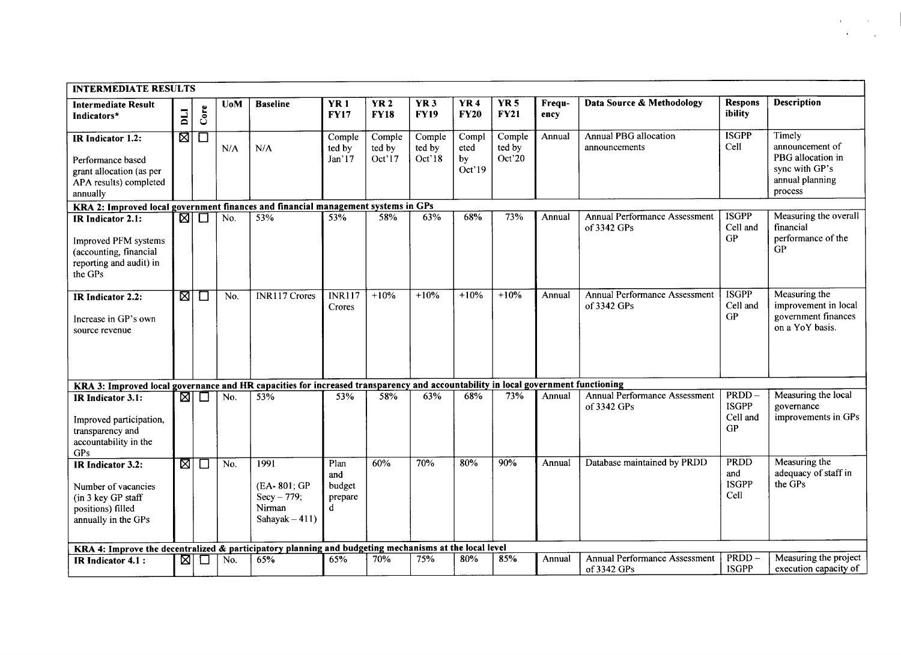| <b>INTERMEDIATE RESULTS</b>                                                                                                      |      |              |            |                                                                    |                                        |                            |                                |                               |                            |                |                                                     |                                            |                                                                                                |
|----------------------------------------------------------------------------------------------------------------------------------|------|--------------|------------|--------------------------------------------------------------------|----------------------------------------|----------------------------|--------------------------------|-------------------------------|----------------------------|----------------|-----------------------------------------------------|--------------------------------------------|------------------------------------------------------------------------------------------------|
| <b>Intermediate Result</b><br>Indicators*                                                                                        | LIQ  | Core         | <b>UoM</b> | <b>Baseline</b>                                                    | <b>YR1</b><br><b>FY17</b>              | <b>YR2</b><br><b>FY18</b>  | YR <sub>3</sub><br><b>FY19</b> | <b>YR4</b><br><b>FY20</b>     | <b>YR 5</b><br><b>FY21</b> | Frequ-<br>ency | Data Source & Methodology                           | <b>Respons</b><br>ibility                  | <b>Description</b>                                                                             |
| IR Indicator 1.2:<br>Performance based<br>grant allocation (as per<br>APA results) completed<br>annually                         | छा   | □            | N/A        | N/A                                                                | Comple<br>ted by<br>Jan'17             | Comple<br>ted by<br>Oct'17 | Comple<br>ted by<br>Oct'18     | Compl<br>eted<br>by<br>Oct'19 | Comple<br>ted by<br>Oct'20 | Annual         | Annual PBG allocation<br>announcements              | <b>ISGPP</b><br>Cell                       | Timely<br>announcement of<br>PBG allocation in<br>sync with GP's<br>annual planning<br>process |
| KRA 2: Improved local government finances and financial management systems in GPs                                                |      |              |            |                                                                    |                                        |                            |                                |                               |                            |                |                                                     |                                            |                                                                                                |
| IR Indicator 2.1:<br>Improved PFM systems<br>(accounting, financial<br>reporting and audit) in<br>the GPs                        | छा   | $\Box$       | No.        | 53%                                                                | 53%                                    | 58%                        | 63%                            | 68%                           | 73%                        | Annual         | <b>Annual Performance Assessment</b><br>of 3342 GPs | <b>ISGPP</b><br>Cell and<br><b>GP</b>      | Measuring the overall<br>financial<br>performance of the<br><b>GP</b>                          |
| IR Indicator 2.2:<br>Increase in GP's own<br>source revenue                                                                      | M    | $\mathbf{L}$ | No.        | <b>INR117 Crores</b>                                               | <b>INR117</b><br>Crores                | $+10%$                     | $+10%$                         | $+10%$                        | $+10%$                     | Annual         | <b>Annual Performance Assessment</b><br>of 3342 GPs | <b>ISGPP</b><br>Cell and<br>GP             | Measuring the<br>improvement in local<br>government finances<br>on a YoY basis.                |
| KRA 3: Improved local governance and HR capacities for increased transparency and accountability in local government functioning |      |              |            |                                                                    |                                        |                            |                                |                               |                            |                |                                                     |                                            |                                                                                                |
| IR Indicator 3.1:<br>Improved participation,<br>transparency and<br>accountability in the<br>GPs                                 | छ।   | $\Box$       | No.        | 53%                                                                | 53%                                    | 58%                        | 63%                            | 68%                           | 73%                        | Annual         | <b>Annual Performance Assessment</b><br>of 3342 GPs | PRDD-<br><b>ISGPP</b><br>Cell and<br>GP    | Measuring the local<br>governance<br>improvements in GPs                                       |
| IR Indicator 3.2:<br>Number of vacancies<br>(in 3 key GP staff<br>positions) filled<br>annually in the GPs                       | ष्ठा | $\Box$       | No.        | 1991<br>(EA-801; GP<br>$Secy - 779;$<br>Nirman<br>Sahayak $-411$ ) | Plan<br>and<br>budget<br>prepare<br>d. | 60%                        | 70%                            | 80%                           | 90%                        | Annual         | Database maintained by PRDD                         | <b>PRDD</b><br>and<br><b>ISGPP</b><br>Cell | Measuring the<br>adequacy of staff in<br>the GPs                                               |
| KRA 4: Improve the decentralized & participatory planning and budgeting mechanisms at the local level                            |      |              |            |                                                                    |                                        |                            |                                |                               |                            |                |                                                     |                                            |                                                                                                |
| <b>IR</b> Indicator 4.1 :                                                                                                        |      | ⊠∣⊡          | No.        | 65%                                                                | 65%                                    | 70%                        | 75%                            | 80%                           | 85%                        | Annual         | <b>Annual Performance Assessment</b><br>of 3342 GPs | PRDD-<br><b>ISGPP</b>                      | Measuring the project<br>execution capacity of                                                 |

 $\mathbf{z}$  and  $\mathbf{z}$  and  $\mathbf{z}$  $\mathcal{O}(\mathcal{A})$  and  $\mathcal{O}(\mathcal{A})$